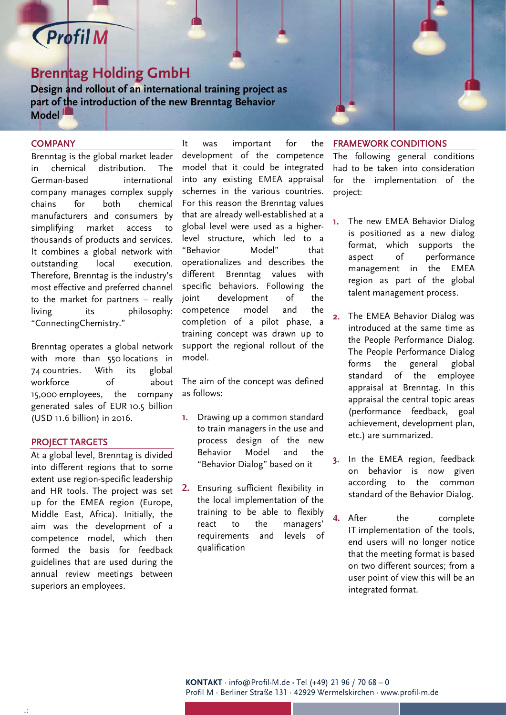## **Profil M**

## **Brenntag Holding GmbH**

**Design and rollout of an international training project as part of the introduction of the new Brenntag Behavior Model**

### **COMPANY**

ľ

Brenntag is the global market leader in chemical distribution. The German-based international company manages complex supply chains for both chemical manufacturers and consumers by simplifying market access to thousands of products and services. It combines a global network with outstanding local execution. Therefore, Brenntag is the industry's most effective and preferred channel to the market for partners – really living its philosophy: "ConnectingChemistry."

Brenntag operates a global network with more than 550 locations in 74 countries. With its global workforce of about 15,000 employees, the company generated sales of EUR 10.5 billion (USD 11.6 billion) in 2016.

#### PROJECT TARGETS

At a global level, Brenntag is divided into different regions that to some extent use region-specific leadership and HR tools. The project was set up for the EMEA region (Europe, Middle East, Africa). Initially, the aim was the development of a competence model, which then formed the basis for feedback guidelines that are used during the annual review meetings between superiors an employees.

It was important for the development of the competence model that it could be integrated into any existing EMEA appraisal schemes in the various countries. For this reason the Brenntag values that are already well-established at a global level were used as a higherlevel structure, which led to a "Behavior Model" that operationalizes and describes the different Brenntag values with specific behaviors. Following the joint development of the competence model and the completion of a pilot phase, a training concept was drawn up to support the regional rollout of the model.

The aim of the concept was defined as follows:

- 1. Drawing up a common standard to train managers in the use and process design of the new Behavior Model and the "Behavior Dialog" based on it
- **2.** Ensuring sufficient flexibility in the local implementation of the training to be able to flexibly react to the managers' requirements and levels of qualification

#### FRAMEWORK CONDITIONS

The following general conditions had to be taken into consideration for the implementation of the project:

- 1. The new EMEA Behavior Dialog is positioned as a new dialog format, which supports the aspect of performance management in the EMEA region as part of the global talent management process.
- 2. The EMEA Behavior Dialog was introduced at the same time as the People Performance Dialog. The People Performance Dialog forms the general global standard of the employee appraisal at Brenntag. In this appraisal the central topic areas (performance feedback, goal achievement, development plan, etc.) are summarized.
- 3. In the EMEA region, feedback on behavior is now given according to the common standard of the Behavior Dialog.
- **4.** After the complete IT implementation of the tools, end users will no longer notice that the meeting format is based on two different sources; from a user point of view this will be an integrated format.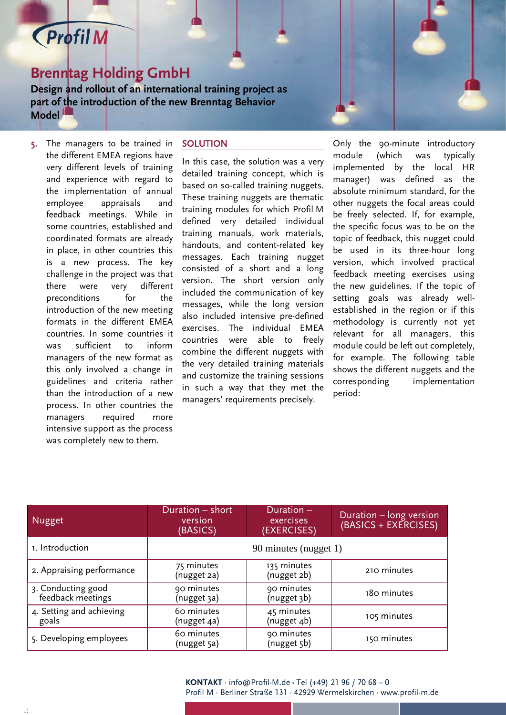# **Profil M**

ľ

## **Brenntag Holding GmbH**

**Design and rollout of an international training project as part of the introduction of the new Brenntag Behavior Model**

5. The managers to be trained in the different EMEA regions have very different levels of training and experience with regard to the implementation of annual employee appraisals and feedback meetings. While in some countries, established and coordinated formats are already in place, in other countries this is a new process. The key challenge in the project was that there were very different preconditions for the introduction of the new meeting formats in the different EMEA countries. In some countries it was sufficient to inform managers of the new format as this only involved a change in guidelines and criteria rather than the introduction of a new process. In other countries the managers required more intensive support as the process was completely new to them.

### **SOLUTION**

In this case, the solution was a very detailed training concept, which is based on so-called training nuggets. These training nuggets are thematic training modules for which Profil M defined very detailed individual training manuals, work materials, handouts, and content-related key messages. Each training nugget consisted of a short and a long version. The short version only included the communication of key messages, while the long version also included intensive pre-defined exercises. The individual EMEA countries were able to freely combine the different nuggets with the very detailed training materials and customize the training sessions in such a way that they met the managers' requirements precisely.

Only the 90-minute introductory module (which was typically implemented by the local HR manager) was defined as the absolute minimum standard, for the other nuggets the focal areas could be freely selected. If, for example, the specific focus was to be on the topic of feedback, this nugget could be used in its three-hour long version, which involved practical feedback meeting exercises using the new guidelines. If the topic of setting goals was already wellestablished in the region or if this methodology is currently not yet relevant for all managers, this module could be left out completely, for example. The following table shows the different nuggets and the corresponding implementation period:

| Nugget                                  | Duration - short<br>version<br>(BASICS) | Duration -<br>exercises<br>(EXERCISES) | Duration - long version<br>$(BASICS + EXERCISES)$ |
|-----------------------------------------|-----------------------------------------|----------------------------------------|---------------------------------------------------|
| 1. Introduction                         | 90 minutes (nugget 1)                   |                                        |                                                   |
| 2. Appraising performance               | 75 minutes<br>(nugget 2a)               | 135 minutes<br>(nugget 2b)             | 210 minutes                                       |
| 3. Conducting good<br>feedback meetings | 90 minutes<br>(nugget 3a)               | 90 minutes<br>(nugget 3b)              | 180 minutes                                       |
| 4. Setting and achieving<br>goals       | 60 minutes<br>(nugget 4a)               | 45 minutes<br>(nugget 4b)              | 105 minutes                                       |
| 5. Developing employees                 | 60 minutes<br>(nugget 5a)               | 90 minutes<br>(nugget 5b)              | 150 minutes                                       |

**KONTAKT** · info@Profil-M.de **·** Tel (+49) 21 96 / 70 68 – 0 Profil M · Berliner Straße 131 · 42929 Wermelskirchen · www.profil-m.de